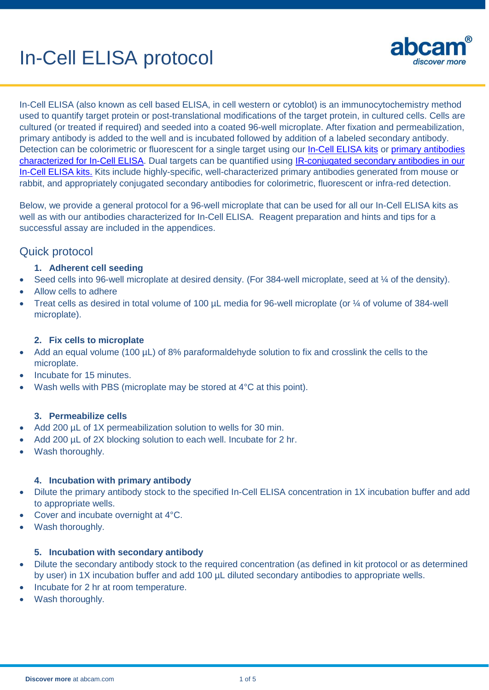# In-Cell ELISA protocol



In-Cell ELISA (also known as cell based ELISA, in cell western or cytoblot) is an immunocytochemistry method used to quantify target protein or post-translational modifications of the target protein, in cultured cells. Cells are cultured (or treated if required) and seeded into a coated 96-well microplate. After fixation and permeabilization, primary antibody is added to the well and is incubated followed by addition of a labeled secondary antibody. Detection can be colorimetric or fluorescent for a single target using our [In-Cell ELISA kits](http://www.abcam.com/products?keywords=in+cell+elisa&selected.classification=Immunoassay+kits+and+reagents--Cell+based+ELISA+kits--In-Cell+ELISA+(ICE)) or primary [antibodies](http://www.abcam.com/products?keywords=in+cell+elisa&selected.classification=Primary+antibodies&selected.application=In-Cell+ELISA) [characterized for In-Cell ELISA.](http://www.abcam.com/products?keywords=in+cell+elisa&selected.classification=Primary+antibodies&selected.application=In-Cell+ELISA) Dual targets can be quantified using [IR-conjugated secondary antibodies in our](http://www.abcam.com/products?keywords=In+Cell+ELISA+ICE&selected.classification=Immunoassay+kits+and+reagents--Cell+based+ELISA+kits--In-Cell+ELISA+(ICE)&selected.detectionMethod=IR)  [In-Cell ELISA kits.](http://www.abcam.com/products?keywords=In+Cell+ELISA+ICE&selected.classification=Immunoassay+kits+and+reagents--Cell+based+ELISA+kits--In-Cell+ELISA+(ICE)&selected.detectionMethod=IR) Kits include highly-specific, well-characterized primary antibodies generated from mouse or rabbit, and appropriately conjugated secondary antibodies for colorimetric, fluorescent or infra-red detection.

Below, we provide a general protocol for a 96-well microplate that can be used for all our In-Cell ELISA kits as well as with our antibodies characterized for In-Cell ELISA. Reagent preparation and hints and tips for a successful assay are included in the appendices.

# Quick protocol

#### **1. Adherent cell seeding**

- Seed cells into 96-well microplate at desired density. (For 384-well microplate, seed at  $\frac{1}{4}$  of the density).
- Allow cells to adhere
- Treat cells as desired in total volume of 100 µL media for 96-well microplate (or ¼ of volume of 384-well microplate).

#### **2. Fix cells to microplate**

- Add an equal volume (100 µL) of 8% paraformaldehyde solution to fix and crosslink the cells to the microplate.
- Incubate for 15 minutes.
- Wash wells with PBS (microplate may be stored at 4°C at this point).

#### **3. Permeabilize cells**

- Add 200 µL of 1X permeabilization solution to wells for 30 min.
- Add 200 µL of 2X blocking solution to each well. Incubate for 2 hr.
- Wash thoroughly.

## **4. Incubation with primary antibody**

- Dilute the primary antibody stock to the specified In-Cell ELISA concentration in 1X incubation buffer and add to appropriate wells.
- Cover and incubate overnight at 4°C.
- Wash thoroughly.

#### **5. Incubation with secondary antibody**

- Dilute the secondary antibody stock to the required concentration (as defined in kit protocol or as determined by user) in 1X incubation buffer and add 100 µL diluted secondary antibodies to appropriate wells.
- Incubate for 2 hr at room temperature.
- Wash thoroughly.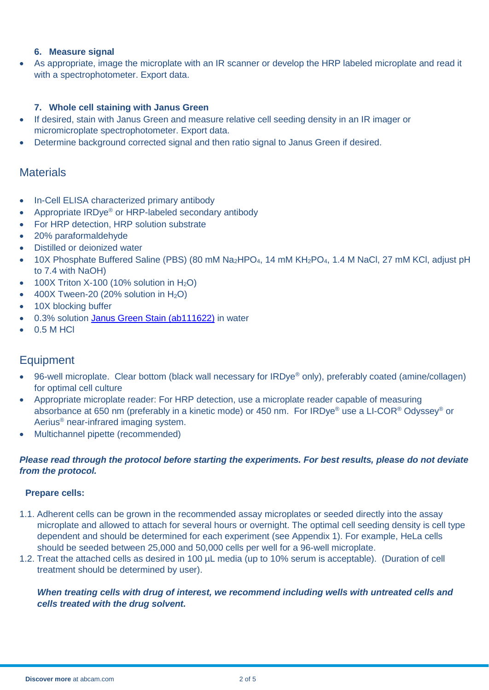#### **6. Measure signal**

 As appropriate, image the microplate with an IR scanner or develop the HRP labeled microplate and read it with a spectrophotometer. Export data.

#### **7. Whole cell staining with Janus Green**

- If desired, stain with Janus Green and measure relative cell seeding density in an IR imager or micromicroplate spectrophotometer. Export data.
- Determine background corrected signal and then ratio signal to Janus Green if desired.

# **Materials**

- In-Cell ELISA characterized primary antibody
- Appropriate IRDye<sup>®</sup> or HRP-labeled secondary antibody
- For HRP detection, HRP solution substrate
- 20% paraformaldehyde
- Distilled or deionized water
- 10X Phosphate Buffered Saline (PBS) (80 mM Na<sub>2</sub>HPO<sub>4</sub>, 14 mM KH<sub>2</sub>PO<sub>4</sub>, 1.4 M NaCl, 27 mM KCl, adjust pH to 7.4 with NaOH)
- $\bullet$  100X Triton X-100 (10% solution in H<sub>2</sub>O)
- $\bullet$  400X Tween-20 (20% solution in H<sub>2</sub>O)
- 10X blocking buffer
- 0.3% solution [Janus Green Stain \(ab111622\)](http://www.abcam.com/janus-green-cell-normalization-stain-ab111622.html) in water
- $-0.5$  M HCl

# **Equipment**

- 96-well microplate. Clear bottom (black wall necessary for IRDye® only), preferably coated (amine/collagen) for optimal cell culture
- Appropriate microplate reader: For HRP detection, use a microplate reader capable of measuring absorbance at 650 nm (preferably in a kinetic mode) or 450 nm. For IRDye® use a LI-COR® Odyssey® or Aerius® near-infrared imaging system.
- Multichannel pipette (recommended)

#### *Please read through the protocol before starting the experiments. For best results, please do not deviate from the protocol.*

#### **Prepare cells:**

- 1.1. Adherent cells can be grown in the recommended assay microplates or seeded directly into the assay microplate and allowed to attach for several hours or overnight. The optimal cell seeding density is cell type dependent and should be determined for each experiment (see Appendix 1). For example, HeLa cells should be seeded between 25,000 and 50,000 cells per well for a 96-well microplate.
- 1.2. Treat the attached cells as desired in 100 µL media (up to 10% serum is acceptable). (Duration of cell treatment should be determined by user).

## *When treating cells with drug of interest, we recommend including wells with untreated cells and cells treated with the drug solvent.*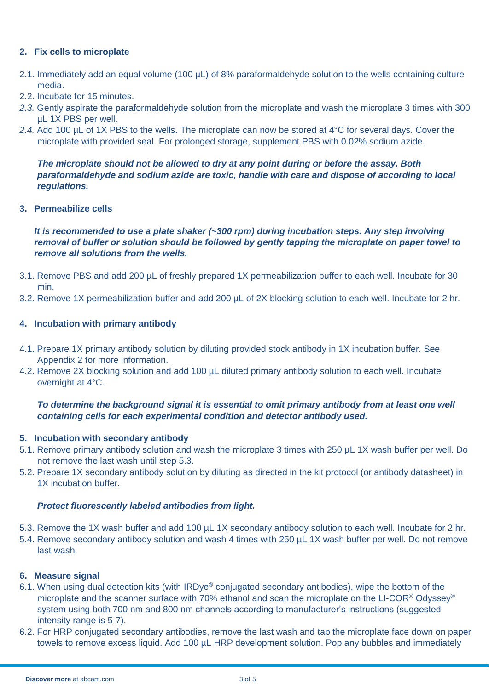#### **2. Fix cells to microplate**

- 2.1. Immediately add an equal volume (100 µL) of 8% paraformaldehyde solution to the wells containing culture media.
- 2.2. Incubate for 15 minutes.
- *2.3.* Gently aspirate the paraformaldehyde solution from the microplate and wash the microplate 3 times with 300 µL 1X PBS per well.
- *2.4.* Add 100 µL of 1X PBS to the wells. The microplate can now be stored at 4°C for several days. Cover the microplate with provided seal. For prolonged storage, supplement PBS with 0.02% sodium azide.

*The microplate should not be allowed to dry at any point during or before the assay. Both paraformaldehyde and sodium azide are toxic, handle with care and dispose of according to local regulations.*

**3. Permeabilize cells**

*It is recommended to use a plate shaker (~300 rpm) during incubation steps. Any step involving removal of buffer or solution should be followed by gently tapping the microplate on paper towel to remove all solutions from the wells.* 

- 3.1. Remove PBS and add 200 µL of freshly prepared 1X permeabilization buffer to each well. Incubate for 30 min.
- 3.2. Remove 1X permeabilization buffer and add 200 µL of 2X blocking solution to each well. Incubate for 2 hr.

#### **4. Incubation with primary antibody**

- 4.1. Prepare 1X primary antibody solution by diluting provided stock antibody in 1X incubation buffer. See Appendix 2 for more information.
- 4.2. Remove 2X blocking solution and add 100 µL diluted primary antibody solution to each well. Incubate overnight at 4°C.

## *To determine the background signal it is essential to omit primary antibody from at least one well containing cells for each experimental condition and detector antibody used.*

#### **5. Incubation with secondary antibody**

- 5.1. Remove primary antibody solution and wash the microplate 3 times with 250 µL 1X wash buffer per well. Do not remove the last wash until step 5.3.
- 5.2. Prepare 1X secondary antibody solution by diluting as directed in the kit protocol (or antibody datasheet) in 1X incubation buffer.

#### *Protect fluorescently labeled antibodies from light.*

- 5.3. Remove the 1X wash buffer and add 100 µL 1X secondary antibody solution to each well. Incubate for 2 hr.
- 5.4. Remove secondary antibody solution and wash 4 times with 250 µL 1X wash buffer per well. Do not remove last wash.

#### **6. Measure signal**

- 6.1. When using dual detection kits (with IRDye® conjugated secondary antibodies), wipe the bottom of the microplate and the scanner surface with 70% ethanol and scan the microplate on the LI-COR® Odyssey® system using both 700 nm and 800 nm channels according to manufacturer's instructions (suggested intensity range is 5-7).
- 6.2. For HRP conjugated secondary antibodies, remove the last wash and tap the microplate face down on paper towels to remove excess liquid. Add 100 µL HRP development solution. Pop any bubbles and immediately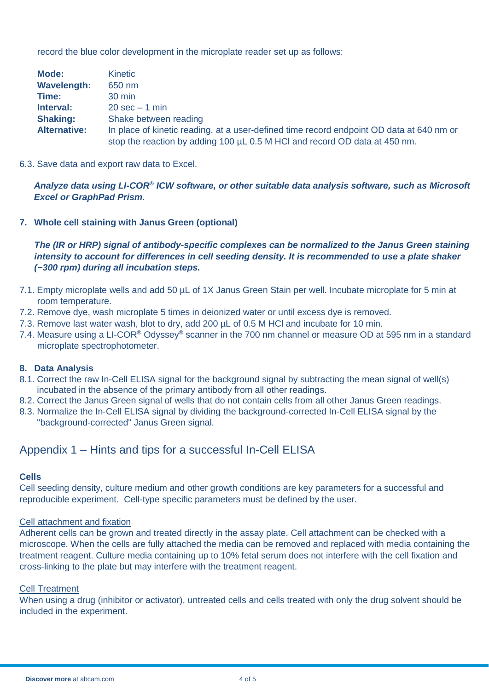record the blue color development in the microplate reader set up as follows:

| Mode:               | <b>Kinetic</b>                                                                           |  |
|---------------------|------------------------------------------------------------------------------------------|--|
| <b>Wavelength:</b>  | 650 nm                                                                                   |  |
| Time:               | 30 min                                                                                   |  |
| Interval:           | $20 \text{ sec} - 1 \text{ min}$                                                         |  |
| <b>Shaking:</b>     | Shake between reading                                                                    |  |
| <b>Alternative:</b> | In place of kinetic reading, at a user-defined time record endpoint OD data at 640 nm or |  |
|                     | stop the reaction by adding 100 µL 0.5 M HCl and record OD data at 450 nm.               |  |

6.3. Save data and export raw data to Excel.

*Analyze data using LI-COR® ICW software, or other suitable data analysis software, such as Microsoft Excel or GraphPad Prism.*

#### **7. Whole cell staining with Janus Green (optional)**

*The (IR or HRP) signal of antibody-specific complexes can be normalized to the Janus Green staining intensity to account for differences in cell seeding density. It is recommended to use a plate shaker (~300 rpm) during all incubation steps.*

- 7.1. Empty microplate wells and add 50 µL of 1X Janus Green Stain per well. Incubate microplate for 5 min at room temperature.
- 7.2. Remove dye, wash microplate 5 times in deionized water or until excess dye is removed.
- 7.3. Remove last water wash, blot to dry, add 200 µL of 0.5 M HCl and incubate for 10 min.
- 7.4. Measure using a LI-COR<sup>®</sup> Odyssey<sup>®</sup> scanner in the 700 nm channel or measure OD at 595 nm in a standard microplate spectrophotometer.

#### **8. Data Analysis**

- 8.1. Correct the raw In-Cell ELISA signal for the background signal by subtracting the mean signal of well(s) incubated in the absence of the primary antibody from all other readings.
- 8.2. Correct the Janus Green signal of wells that do not contain cells from all other Janus Green readings.
- 8.3. Normalize the In-Cell ELISA signal by dividing the background-corrected In-Cell ELISA signal by the "background-corrected" Janus Green signal.

# Appendix 1 – Hints and tips for a successful In-Cell ELISA

#### **Cells**

Cell seeding density, culture medium and other growth conditions are key parameters for a successful and reproducible experiment. Cell-type specific parameters must be defined by the user.

#### Cell attachment and fixation

Adherent cells can be grown and treated directly in the assay plate. Cell attachment can be checked with a microscope. When the cells are fully attached the media can be removed and replaced with media containing the treatment reagent. Culture media containing up to 10% fetal serum does not interfere with the cell fixation and cross-linking to the plate but may interfere with the treatment reagent.

#### Cell Treatment

When using a drug (inhibitor or activator), untreated cells and cells treated with only the drug solvent should be included in the experiment.